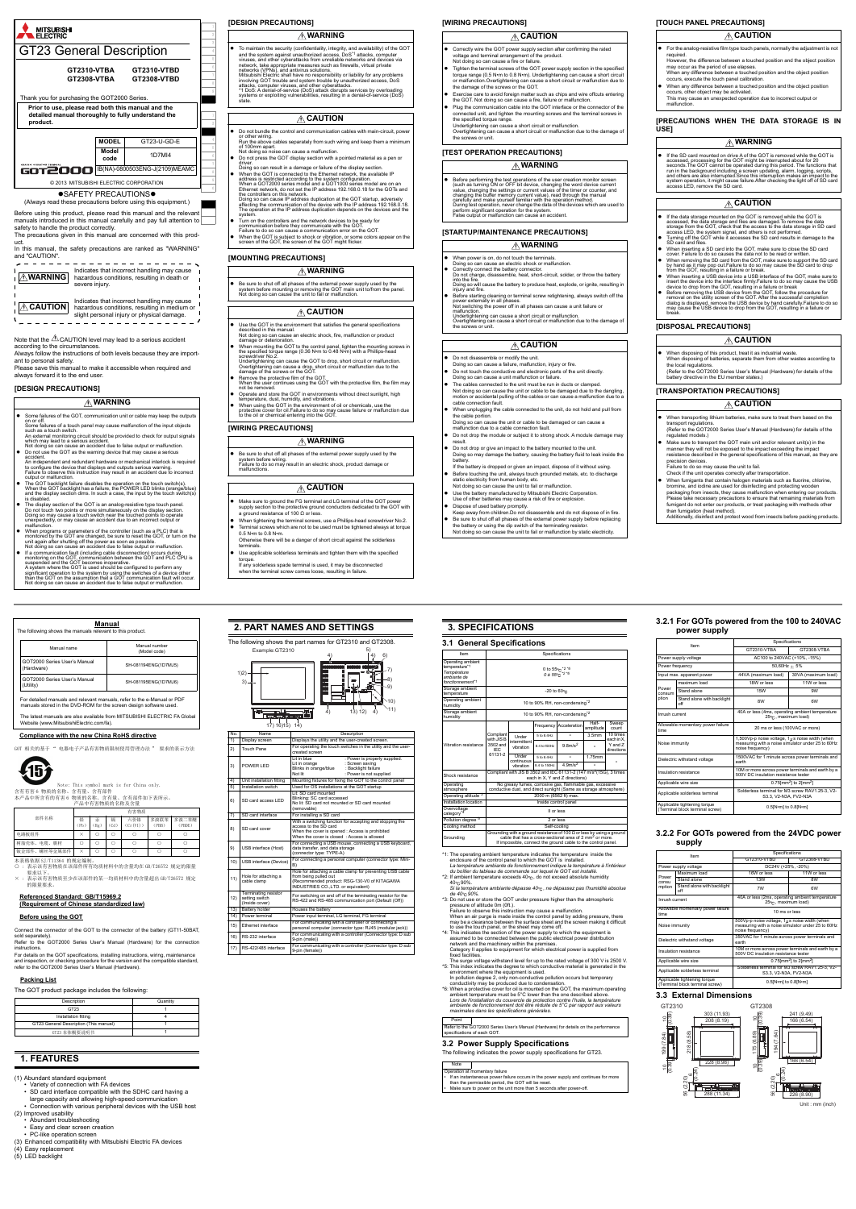- The display section of the GOT is an analog-resistive type touch panel. Do not touch two points or more simultaneously on the display section. Doing so may cause a touch switch near the touched points to operate unexpectedly, or may cause an accident due to an incorrect output or malfunction.
- When programs or parameters of the controller (such as a PLC) that is monitored by the GOT are changed, be sure to reset the GOT, or turn on the<br>unit again after shutting off the power as soon as possible.<br>Not doing so can cause an accident due to false output or malfunction.
- $\bullet$  If a communication fault (including cable disconnection) occurs during<br>monitoring on the GOT, communication between the GOT and PLC CPU is<br>suspended and the GOT becomes inoperative.<br>A system where the GOT is used sho significant operation to the system by using the switches of a device other<br>than the GOT on the assumption that a GOT communication fault will occur.<br>Not doing so can cause an accident due to false output or malfunction.

 Be sure to shut off all phases of the external power supply used by the system before mounting or removing the GOT main unit to/from the panel. system before mounting or removing the GO<br>Not doing so can cause the unit to fail or ma

- Use the GOT in the environment that satisfies the general specifications
- described in this manual. Not doing so can cause an electric shock, fire, malfunction or product damage or deterioration. When mounting the GOT to the control panel, tighten the mounting screws in the specified torque range (0.36 N•m to 0.48 N•m) with a Phillips-head
- screwdriver No.2. Undertightening can cause the GOT to drop, short circuit or malfunction. Overtightening can cause a drop, short circuit or malfunction due to the damage of the screws or the GOT.
- 
- Remove the protective film of the GOT. When the user continues using the GOT with the protective film, the film may not be removed.
- Operate and store the GOT in environments without direct sunlight, high<br>temperature, dust, humidity, and vibrations.<br>● When using the GOT in the environment of oil or chemicals, use the<br>protective cover for oil.Failure
- protective cover for oil. Failure to do so may<br>to the oil or chemical entering into the GOT.



# **[WIRING PRECAUTIONS]**

- Do not bundle the control and communication cables with main-circuit, power or other wiring. Run the above cables separately from such wiring and keep them a minimum
- of 100mm apart. Not doing so noise can cause a malfunction. Do not press the GOT display section with a pointed material as a pen or
- 
- driver.<br>
Obing so can result in a damage or failure of the display section.<br>
 When the GOT is connected to the Ethernet network, the available IP<br>
 address is restricted according to the system configuration.<br>
 When a G
- Turn on the controllers and the network devices to be ready for
- communication before they communicate with the GOT.<br>Failure to do so can cause a communication error on the GOT.<br>• When the GOT is subject to shock or vibration, or some colors appear on the<br>screen of the GOT, the screen o
- **[MOUNTING PRECAUTIONS]**
- When power is on, do not touch the terminals. Doing so can cause an electric shock or malfunction.
- 
- Correctly connect the battery connector. Do not charge, disassemble, heat, short-circuit, solder, or throw the battery into the fire. Doing so will cause the battery to produce heat, explode, or ignite, resulting in
- injury and fire. Before starting cleaning or terminal screw retightening, always switch off the power externally in all phases. Not switching the power off in all phases can cause a unit failure or malfunction.
- Undertightening can cause a short circuit or malfunction. Overtightening can cause a short circuit or malfunction due to the damage of
- Undertightening can<br>Overtightening can<br>the screws or unit.

| ∧ WARNING                                                                                                                                                             |
|-----------------------------------------------------------------------------------------------------------------------------------------------------------------------|
| To maintain the security (confidentiality, integrity, and availability) of the GOT<br>and the system against unauthorized access, DoS <sup>*1</sup> attacks, computer |
| viruses, and other outconttacks from unrolloble notworks and dovises via                                                                                              |

- virusse, and other cyberattacks from unreliable networks and devices via<br>network, take appropriate measures such as firewalls, virtual private<br>networks (VPNs), and antivirus solutions.<br>Mitsubishi Electric shall have no res
- 

- If the data storage mounted on the GOT is removed while the GOT is accessed, the data storage and files are damaged. To remove the data storage from the GOT, check that the access to the data storage in SD card access LE
- When inserting a SD card into the GOT, make sure to close the SD card cover. Failure to do so causes the data not to be read or written.
- 
- 
- When removing the SD card from the GOT, make sure to support the SD card from the GOT, resulting a GIM from the GOT, resulting a GIM from the GOT, resulting a GIM from in statiuse or the station of the minimization in t
- **[DISPOSAL PRECAUTIONS]**
- For the analog-resistive film type touch panels, normally the adjustment is not required. However, the difference between a touched position and the object position
- may occur as the period of use elapses. When any difference between a touched position and the object position occurs, execute the touch panel calibration. When any difference between a touched position and the object position
- occurs, other object may be activated. This may cause an unexpected operation due to incorrect output or malfunction.

• If the SD card mounted on drive A of the GOT is<br>accessed, processing for the GOT might be interrupted about for 20<br>seconds. The GOT cannot be operated during this period. The functions that<br>run in the background includin system operation, it might cause failure.After checking the light off of SD card access LED, remove the SD card.

- When disposing of this product, treat it as industrial waste. When disposing of batteries, separate them from other wastes according to the local regulations.
- e local regalations:<br>Refer to the GOT2000 Series User's Manual (Hardware) for details of the become before.<br>In the EU me

 Be sure to shut off all phases of the external power supply used by the system before wiring. Failure to do so may result in an electric shock, product damage or malfunctions. **WARNING**

- Make sure to ground the FG terminal and LG terminal of the GOT power supply section to the protective ground conductors dedicated to the GOT with a ground resistance of 100 Ω or less.
- When tightening the terminal screws, use a Phillips-head screwdriver No.2. Terminal screws which are not to be used must be tightened always at torque
- 0.5 N•m to 0.8 N•m.
- Otherwise there will be a danger of short circuit against the solderless terminals.
- Use applicable solderless terminals and tighten them with the specified torque. If any solderless spade terminal is used, it may be disconnected
- when the terminal screw comes loose, resulting in failure.
- hen transporting lithium batteries, make sure to treat them based on the transport regulations. (Refer to the GOT2000 Series User's Manual (Hardware) for details of the regulated models.)
- Make sure to transport the GOT main unit and/or relevant unit(s) in the manner they will not be exposed to the impact exceeding the impact resistance described in the general specifications of this manual, as they an precision devices.
- Failure to do so may cause the unit to fail. Check if the unit operates correctly after transportation.

# **CAUTION**

# **WARNING**

# **CAUTION**

# **CAUTION**

## **[WIRING PRECAUTIONS]**

#### **[STARTUP/MAINTENANCE PRECAUTIONS]**

本表格依据 SJ/T11364 的规定编制。<br>〇 :表示该有害物质在该部件所有均质材料中的含量均在 GB/T26572 规定的限量 要求以下。

No. Name Description ) Display screen Displays the utility and the

 $17) 16$  $15) 14$ 

**I<sup>n</sup> Gladenia** 

Lit in blue : Power is properly supplied. Lit in orange : Screen saving Blinks in orange/blue : Backlight failure Sour saving<br>Backlight failure

bunting fixtures for fixing the GOT to the

(removable) or installing a SD <mark>ca</mark><br>/ith a switching fung

Lit: SD card mounted Blinking: SC card acce<br>Ne lit: SD card not may

10) USB interface (Device) For connecting a personal computer (connector type: Mi

ting the touch switches in the utility and

# **[TEST OPERATION PRECAUTIONS] WARNING**

● Before performing the test operations of the user creation monitor screen<br>the such as turning ON or OFF bit device, changing the word device current<br>value, changing the settings or current values of the time or counter,

- **CAUTION**
- Correctly wire the GOT power supply section after confirming the rated voltage and terminal arrangement of the product. Not doing so can cause a fire or failure.
- Tighten the terminal screws of the GOT power supply section in the specified<br>torque range (0.5 N-m to 0.8 N-m). Undertightening can cause a short circuit<br>or malfunction.Overtightening can cause a short circuit or malfunct
- Exercise care to avoid foreign matter such as chips and wire offcuts entering the GOT. Not doing so can cause a fire, failure or malfunction. Plug the communication cable into the GOT interface or the connector of the
- connected unit, and tighten the mounting screws and the terminal screws in the specified torque range. Undertightening can cause a short circuit or malfunction.
- Overtightening can cause a short circuit or malfunction due to the damage o the screws or unit.

- Do not disassemble or modify the unit. Doing so can cause a failure, malfunction, injury or fire.
- 
- Do not touch the conductive and electronic parts of the unit directly. Doing so can cause a unit malfunction or failure.
- The cables connected to the unit must be run in ducts or clamped. Not doing so can cause the unit or cable to be damaged due to the dangling, motion or accidental pulling of the cables or can cause a malfunction due to a cable connection fault.
- When unplugging the cable connected to the unit, do not hold and pull from the cable portion.
- Doing so can cause the unit or cable to be damaged or can cause a malfunction due to a cable connection fault.
- Do not drop the module or subject it to strong shock. A module damage may result. Do not drop or give an impact to the battery mounted to the unit.
- Doing so may damage the battery, causing the battery fluid to leak inside th battery.
- If the battery is dropped or given an impact, dispose of it without using. Before touching the unit, always touch grounded metals, etc. to discharge static electricity from human body, etc. Not doing so can cause the unit to fail or malfunction.
- Use the battery manufactured by Mitsubishi Electric Corporation. Use of other batteries may cause a risk of fire or explosion.
- 

Operating ambient<br>temperature<sup>\*1</sup> *Température ambiante de fonctionnement\*1*

rage amb

Unde intermittent vibration

Unde continuous vibration

Shock resistance Compliant with JIS B 3502 and IEC 61131-2 (147 months)

tallation location **Inside control panel** 

erating atmosphere

- Dispose of used battery promptly. Keep away from children.Do not disassemble and do not dispose of in fire.
- Be sure to shut off all phases of the external power supply before replacing the battery or using the dip switch of the terminating resistor. Not doing so can cause the unit to fail or malfunction by static electricity.

Specifications

Point Refer to the GOT2000 Series User's Manual (Hardware) for details on the performance ns of each GOT.

# **WARNING**

# **CAUTION**

## **[TOUCH PANEL PRECAUTIONS]**

#### **[PRECAUTIONS WHEN THE DATA STORAGE IS IN USE]**

## **[TRANSPORTATION PRECAUTIONS]**

Power consum tion

oise immunity

• When fumigants that contain halogen materials such as fluorine, chlorine, brown bromine, and iodine are used for disinfecting and protecting wooden<br>packaging from insects, they cause malfunction when entering our product than fumigation (heat method). and rangement (incommence).<br>Additionally, disinfect and protect wood from insects before packing pro

# **CAUTION**

# **WARNING**

# **CAUTION**

## **CAUTION**

# **CAUTION**

The latest manuals are also available from MITSUBISHI ELECTRIC FA Global Website (www.MitsubishiElectric.com/fa).

#### **Compliance with the new China RoHS directive**

)T 相关的基于 " 电器电子产品有害物质限制使用管理办法 " 要求的表示方法



Note: This symbol mark is for China only.<br>含有有害 6 物质的名称、含有量、含有部件,含有部件如下表所示。<br>本产品中所含有的有害、产品中有害物质的名称及含量

× : 表示该有害物质至少在该部件的某一均质材料中的含量超出 GB/T26572 规定 的限量要求。

#### **Referenced Standard: GB/T15969.2 (Requirement of Chinese standardized law)**

| <b>IN PRECAUTIONS1</b> |
|------------------------|
|------------------------|

#### **Before using the GOT**

Connect the connector of the GOT to the connector of the battery (GT11-50BAT, sold separately).

Refer to the GOT2000 Series User's Manual (Hardware) for the connection instructions.

| Manual<br>The following shows the manuals relevant to this product.                                                                           |                                            |                               |  |  |
|-----------------------------------------------------------------------------------------------------------------------------------------------|--------------------------------------------|-------------------------------|--|--|
|                                                                                                                                               | Manual name                                | Manual number<br>(Model code) |  |  |
|                                                                                                                                               | GOT2000 Series User's Manual<br>(Hardware) | SH-081194ENG(1D7MJ5)          |  |  |
|                                                                                                                                               | GOT2000 Series User's Manual<br>(Utility)  | SH-081195ENG(1D7MJ6)          |  |  |
| For detailed manuals and relevant manuals, refer to the e-Manual or PDF<br>manuals stored in the DVD-ROM for the screen design software used. |                                            |                               |  |  |

For details on the GOT specifications, installing instructions, wiring, maintenance and inspection, or checking procedure for the version and the compatible standard, refer to the GOT2000 Series User's Manual (Hardware).

#### **Packing List**

The GOT product package includes the following:

# **1. FEATURES**

(1) Abundant standard equipmen

- Variety of connection with FA devices
- SD card interface compatible with the SDHC card having a large capacity and allowing high-speed communication
- Connection with various peripheral devices with the USB host
- (2) Improved usability
	- Abundant troubleshooting
	- Easy and clear screen creation
	- PC-like operation screen
- (3) Enhanced compatibility with Mitsubishi Electric FA devices
- (4) Easy replacement
- (5) LED backlight

|           |           |           | 有害物质            |               |                 |
|-----------|-----------|-----------|-----------------|---------------|-----------------|
| 铅<br>(Pb) | 汞<br>(Hg) | 镉<br>(Cd) | 六价铬<br>(Cr(VI)) | 多溴联苯<br>(PBB) | 多溴二苯醚<br>(PBDE) |
|           |           |           |                 |               |                 |
|           |           |           |                 |               |                 |
| $\times$  |           |           |                 |               |                 |
|           |           |           |                 |               |                 |

| Description                            | Quantity |
|----------------------------------------|----------|
| GT23                                   |          |
| Installation fitting                   |          |
| GT23 General Description (This manual) |          |
| GT23 本体概要说明书                           |          |

**2. PART NAMES AND SETTINGS** The following shows the part names for GT2310 and GT2308.

created screen

5) Installation switch Used for OS installations at the GOT start

3) POWER LED

6) SD card access LED

8) SD card cover

 $\begin{array}{|c|c|c|c|}\n\hline\n\text{11} & \text{Hole for attaching a} \\
\hline\n\text{12} & \text{22} & \text{22} \\
\hline\n\text{23} & \text{24} & \text{24} \\
\hline\n\text{24} & \text{24} & \text{24} \\
\hline\n\text{25} & \text{26} & \text{27} \\
\hline\n\text{26} & \text{28} & \text{28} \\
\hline\n\text{27} & \text{29} & \text{29} \\
\hline\n\text{28} & \text{29} & \text{29} \\
\hline\n\text{2$ able clamp

access to the SD card When the cover is opened : Access is prohibited When the cover is closed : Access is allowed

9) USB interface (Host)

For connecting a USB mouse, connecting a USB keyboard, data transfer, and data storage (connector type: TYPE-A)

B) Hole for attaching a cable clamp for preventing USB cable from being pulled out

(Recommended product: RSG-130-V0 of KITAGAWA INDUSTRIES CO.,LTD. or equivalent)

12)

Terminating resistor setting switch (Inside cover)

attery holder **Houses** the battery

For switching on and off of the terminating resistor for the RS-422 and RS-485 communication port (Default (Off))

| 14) Power terminal       | Power input terminal, LG terminal, FG terminal                                                                 |
|--------------------------|----------------------------------------------------------------------------------------------------------------|
| 15) Ethernet interface   | For communicating with a controller or connecting a<br>personal computer (connector type: RJ45 (modular jack)) |
| 16) RS-232 interface     | For communicating with a controller (Connector type: D sub<br>9-pin (male))                                    |
| 17) RS-422/485 interface | For communicating with a controller (Connector type: D sub<br>9-pin (female))                                  |

Failure to observe this instruction may cause a malfunction.<br>When an air purge is made inside the control panel by adding pressure, there<br>may be a clearance between the surface sheet and the screen making it difficult

<sup>4</sup>1: The operating ambient temperature incideates the temperature inside the encodence condition the GOT is installed.<br>
La temperature ambiente de fonctionnement indique la temperature à l'intérieur<br>
du bottier du tablea

octomodia<br>
Category<sup>3</sup><br>
Pollution degree<sup>-5</sup><br>
Cooling method<br>
Grounding<br>
Grounding<br>
Grounding<br>
Cooling the that as a cross-sectional area of 2 mm<sup>2</sup> or more.<br>
Cooling the that as a consected and at of 2 mm<sup>2</sup> or more.<br>
I

to use the touch panel, or the sheet may come off.<br>"4: This indicates the section of the power supply to which the equipment is<br>"4: This indicates the section of the power supply to which the equipment is<br>network and the m

*de 40*°C 90%.<br>\*3: Do not use or store the GOT under pressure higher than the atmospheric<br>pressure of altitude 0m (0ft.).

The surge voltage withstand level for up to the rated voltage of 300 V is 2500 V.<br>This index indicates the degree to which conductive material is generated in the environment where the equipment is used.<br>In pollution degre

ambient temperature must be 5°C lower than the one described above. Lors de l'installation du couvercle de protection contre l'huile, la température<br>ambiante de fonctionnement doit être réduite de 5°C par rapport aux valeurs<br>maximales dans les spécifications générales.

Example:GT2310

1)2) 3) 5) 6) 7) 8)

É

10) 9)

a function for accepting and stopping the

4) 13) 4) 12) 11)

sed<br>\*ted or SD card mounted

4) 4)

**3. SPECIFICATIONS 3.1 General Specifications** 

# **3.2 Power Supply Specifications**

The following indicates the power supply specifications for GT23.

# **NOTE**<br>Neration at i

**peration at momentary failure**<br>If an instantaneous power failure turs in the power supply and continues for more

0 to 55 \*2 *\*6 0 à 55 \*2 \*6*

 $-20$  to  $60^{\circ}$ C

10 to 90% RH, non-condensing\*2

10 to 90% RH, non-condensing\*2

each in  $X$ ,  $Y$  and  $Z$  directions)

No greasy fumes, corrosive gas, flammabl e dust, and direct sunlight (Same as s

Frequency Acceleration Half-

 $5 to 8.4$  Hz  $- 1.75m$  $\frac{1.64 \times 10^{-10} \text{ m/s}}{4.9 \text{ m/s}^2}$  -

Operating ambient

Storage ambient

Vibration resistance

Compliant with JIS B 3502 and IEC 61131-2

amplitude

5 to 8.4Hz - 3.5mm 10 times

 $\frac{8.4 \text{ to } 150 \text{ Hz}}{8.8 \text{ m/s}^2}$  -  $\begin{array}{c} \text{Y and Z} \\ \text{directions} \end{array}$ 

Sweep count

each in X, Y and Z

Overvoltage

Grounding

rating alt

than the permissible period, the GOT will be reset. • Make sure to power on the unit more than 5 seconds after power-off.

**3.2.1 For GOTs powered from the 100 to 240VAC**

ower supply voltage  $\overline{AC100}$  to 240VAC (+10%, -15%)

ximum load 18W or less 11W or less

off and the warrest way and the second second second second second second second second second second second second second second second second second second second second second second second second second second second s Inrush current 40A or less (4ms, operating ambient temperature  $25^{\circ}$ C, maximum load)

**power supply**

and alon Stand alone with backligh

ntary power failur

**3.2.2 For GOTs powered from the 24VDC power**

Power supply voltage **DC24V** (+25%, -20%)

Item Specifications<br>
GT2310-VTBD GT2308-VTBD

 $25^\circ$ C, maxir

Maximum load 16W or less 11W or less Stand alone 13W 8W

off 7W 6W Inrush current 40A or less (2ms, operating ambient temperature ambient temperature 40A or less (2ms, operating ambient temperature 1

**supply**

## **3.3 External Dimensions**

noise frequency) Dielectric withstand voltage 1500VAC for 1 minute across power terminals and earth Insulation resistance 10M or more across power terminals and earth by a 500V DC insulation resistance tester pplicable wire size  $\sim$  0.75[mm<sup>2</sup>] to 2[mm<sup>2</sup>] Applicable solderless terminal Solderless terminal for M3 screw RAV1.25-3, V2-<br>S3.3, V2-N3A, FV2-N3A Applicable tightening torque (Terminal block terminal screw) 0.5[N•m] to 0.8[N•m]

GT2310-VTBA

 $50,60$ Hz  $\pm 5$ <sup>6</sup>  $m$ load) 30VA (

20 ms or less (100VAC or more)

1,500Vp-p noise voltage, 1 $\mu$ s noise width (when<br>measuring with a noise simulator under 25 to 60Hz

GT2308-VTBA

Power consu mption

Stand alone with backlight

Allowable momentary power failure

| <b>ARVIORADIO INDINGINALE VIOLENCE ISSUED</b><br>time           | 10 ms or less                                                                                                                      |  |
|-----------------------------------------------------------------|------------------------------------------------------------------------------------------------------------------------------------|--|
| Noise immunity                                                  | 500Vp-p noise voltage, $1_{\ell\ell}$ s noise width (when<br>measuring with a noise simulator under 25 to 60Hz<br>noise frequency) |  |
| Dielectric withstand voltage                                    | 350VAC for 1 minute across power terminals and<br>earth                                                                            |  |
| Insulation resistance                                           | 10M or more across power terminals and earth by a<br>500V DC insulation resistance tester                                          |  |
| Applicable wire size                                            | $0.75$ [mm <sup>2</sup> ] to 2[mm <sup>2</sup> ]                                                                                   |  |
| Applicable solderless terminal                                  | Solderless terminal for M3 screw RAV1.25-3. V2-<br>S3.3. V2-N3A. FV2-N3A                                                           |  |
| Applicable tightening torque<br>(Terminal block terminal screw) | 0.5[N•m] to 0.8[N•m]                                                                                                               |  |



Unit : mm (inch)